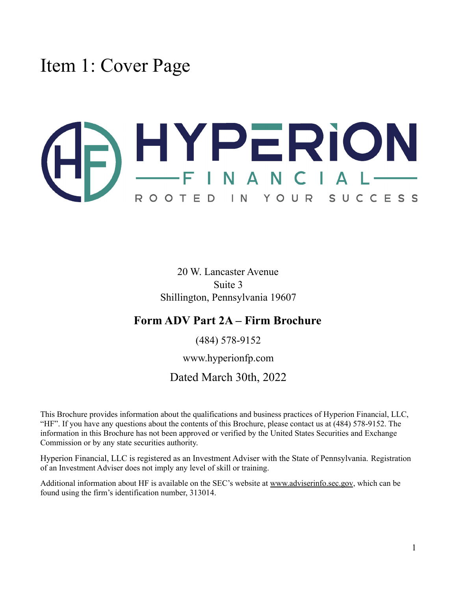<span id="page-0-0"></span>Item 1: Cover Page

# SHYPERION ROOTED IN YOUR SUCCESS

20 W. Lancaster Avenue Suite 3 Shillington, Pennsylvania 19607

### **Form ADV Part 2A – Firm Brochure**

(484) 578-9152

www.hyperionfp.com

### Dated March 30th, 2022

This Brochure provides information about the qualifications and business practices of Hyperion Financial, LLC, "HF". If you have any questions about the contents of this Brochure, please contact us at (484) 578-9152. The information in this Brochure has not been approved or verified by the United States Securities and Exchange Commission or by any state securities authority.

Hyperion Financial, LLC is registered as an Investment Adviser with the State of Pennsylvania. Registration of an Investment Adviser does not imply any level of skill or training.

Additional information about HF is available on the SEC's website at [www.adviserinfo.sec.gov](http://www.adviserinfo.sec.gov), which can be found using the firm's identification number, 313014.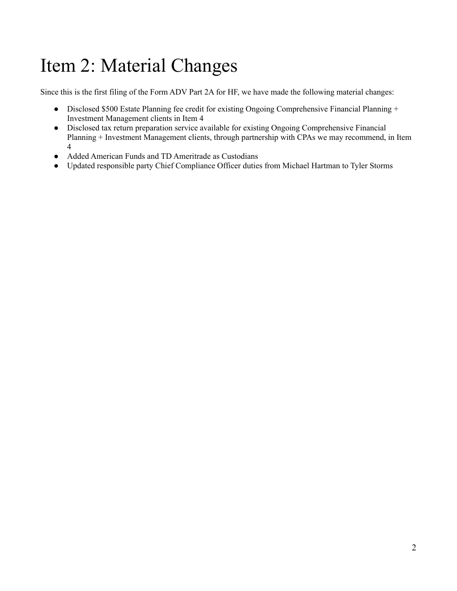# <span id="page-1-0"></span>Item 2: Material Changes

Since this is the first filing of the Form ADV Part 2A for HF, we have made the following material changes:

- Disclosed \$500 Estate Planning fee credit for existing Ongoing Comprehensive Financial Planning + Investment Management clients in Item 4
- Disclosed tax return preparation service available for existing Ongoing Comprehensive Financial Planning + Investment Management clients, through partnership with CPAs we may recommend, in Item 4
- Added American Funds and TD Ameritrade as Custodians
- Updated responsible party Chief Compliance Officer duties from Michael Hartman to Tyler Storms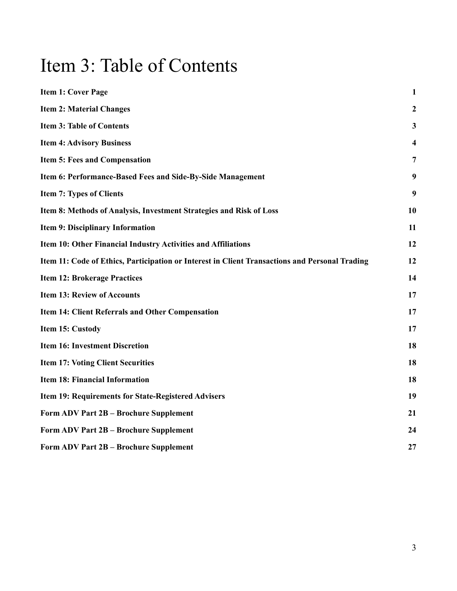# <span id="page-2-0"></span>Item 3: Table of Contents

| <b>Item 1: Cover Page</b>                                                                      | $\mathbf{1}$   |
|------------------------------------------------------------------------------------------------|----------------|
| <b>Item 2: Material Changes</b>                                                                | $\overline{2}$ |
| <b>Item 3: Table of Contents</b>                                                               | 3              |
| <b>Item 4: Advisory Business</b>                                                               | 4              |
| <b>Item 5: Fees and Compensation</b>                                                           | $\overline{7}$ |
| Item 6: Performance-Based Fees and Side-By-Side Management                                     | 9              |
| <b>Item 7: Types of Clients</b>                                                                | 9              |
| Item 8: Methods of Analysis, Investment Strategies and Risk of Loss                            | 10             |
| <b>Item 9: Disciplinary Information</b>                                                        | 11             |
| Item 10: Other Financial Industry Activities and Affiliations                                  | 12             |
| Item 11: Code of Ethics, Participation or Interest in Client Transactions and Personal Trading | 12             |
| <b>Item 12: Brokerage Practices</b>                                                            | 14             |
| <b>Item 13: Review of Accounts</b>                                                             | 17             |
| <b>Item 14: Client Referrals and Other Compensation</b>                                        | 17             |
| Item 15: Custody                                                                               | 17             |
| <b>Item 16: Investment Discretion</b>                                                          | 18             |
| <b>Item 17: Voting Client Securities</b>                                                       | 18             |
| <b>Item 18: Financial Information</b>                                                          | 18             |
| Item 19: Requirements for State-Registered Advisers                                            | 19             |
| Form ADV Part 2B - Brochure Supplement                                                         | 21             |
| Form ADV Part 2B - Brochure Supplement                                                         | 24             |
| Form ADV Part 2B - Brochure Supplement                                                         | 27             |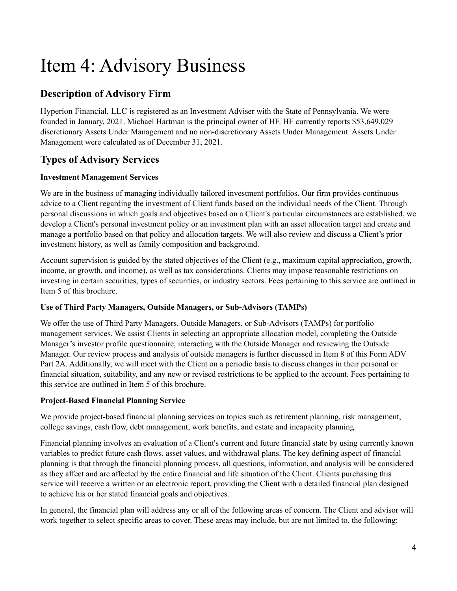# <span id="page-3-0"></span>Item 4: Advisory Business

### **Description of Advisory Firm**

Hyperion Financial, LLC is registered as an Investment Adviser with the State of Pennsylvania. We were founded in January, 2021. Michael Hartman is the principal owner of HF. HF currently reports \$53,649,029 discretionary Assets Under Management and no non-discretionary Assets Under Management. Assets Under Management were calculated as of December 31, 2021.

### **Types of Advisory Services**

#### **Investment Management Services**

We are in the business of managing individually tailored investment portfolios. Our firm provides continuous advice to a Client regarding the investment of Client funds based on the individual needs of the Client. Through personal discussions in which goals and objectives based on a Client's particular circumstances are established, we develop a Client's personal investment policy or an investment plan with an asset allocation target and create and manage a portfolio based on that policy and allocation targets. We will also review and discuss a Client's prior investment history, as well as family composition and background.

Account supervision is guided by the stated objectives of the Client (e.g., maximum capital appreciation, growth, income, or growth, and income), as well as tax considerations. Clients may impose reasonable restrictions on investing in certain securities, types of securities, or industry sectors. Fees pertaining to this service are outlined in Item 5 of this brochure.

#### **Use of Third Party Managers, Outside Managers, or Sub-Advisors (TAMPs)**

We offer the use of Third Party Managers, Outside Managers, or Sub-Advisors (TAMPs) for portfolio management services. We assist Clients in selecting an appropriate allocation model, completing the Outside Manager's investor profile questionnaire, interacting with the Outside Manager and reviewing the Outside Manager. Our review process and analysis of outside managers is further discussed in Item 8 of this Form ADV Part 2A. Additionally, we will meet with the Client on a periodic basis to discuss changes in their personal or financial situation, suitability, and any new or revised restrictions to be applied to the account. Fees pertaining to this service are outlined in Item 5 of this brochure.

#### **Project-Based Financial Planning Service**

We provide project-based financial planning services on topics such as retirement planning, risk management, college savings, cash flow, debt management, work benefits, and estate and incapacity planning.

Financial planning involves an evaluation of a Client's current and future financial state by using currently known variables to predict future cash flows, asset values, and withdrawal plans. The key defining aspect of financial planning is that through the financial planning process, all questions, information, and analysis will be considered as they affect and are affected by the entire financial and life situation of the Client. Clients purchasing this service will receive a written or an electronic report, providing the Client with a detailed financial plan designed to achieve his or her stated financial goals and objectives.

In general, the financial plan will address any or all of the following areas of concern. The Client and advisor will work together to select specific areas to cover. These areas may include, but are not limited to, the following: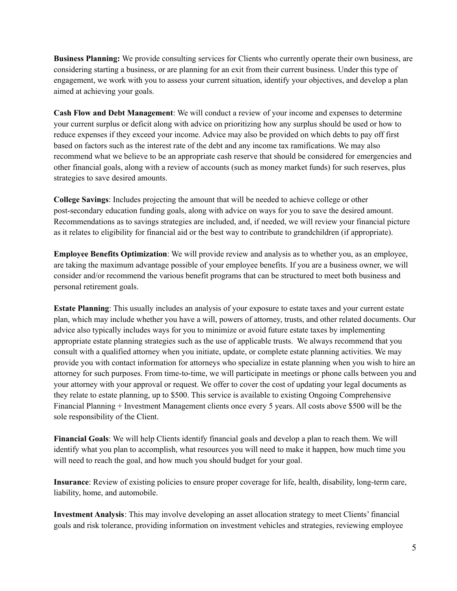**Business Planning:** We provide consulting services for Clients who currently operate their own business, are considering starting a business, or are planning for an exit from their current business. Under this type of engagement, we work with you to assess your current situation, identify your objectives, and develop a plan aimed at achieving your goals.

**Cash Flow and Debt Management**: We will conduct a review of your income and expenses to determine your current surplus or deficit along with advice on prioritizing how any surplus should be used or how to reduce expenses if they exceed your income. Advice may also be provided on which debts to pay off first based on factors such as the interest rate of the debt and any income tax ramifications. We may also recommend what we believe to be an appropriate cash reserve that should be considered for emergencies and other financial goals, along with a review of accounts (such as money market funds) for such reserves, plus strategies to save desired amounts.

**College Savings**: Includes projecting the amount that will be needed to achieve college or other post-secondary education funding goals, along with advice on ways for you to save the desired amount. Recommendations as to savings strategies are included, and, if needed, we will review your financial picture as it relates to eligibility for financial aid or the best way to contribute to grandchildren (if appropriate).

**Employee Benefits Optimization**: We will provide review and analysis as to whether you, as an employee, are taking the maximum advantage possible of your employee benefits. If you are a business owner, we will consider and/or recommend the various benefit programs that can be structured to meet both business and personal retirement goals.

**Estate Planning**: This usually includes an analysis of your exposure to estate taxes and your current estate plan, which may include whether you have a will, powers of attorney, trusts, and other related documents. Our advice also typically includes ways for you to minimize or avoid future estate taxes by implementing appropriate estate planning strategies such as the use of applicable trusts. We always recommend that you consult with a qualified attorney when you initiate, update, or complete estate planning activities. We may provide you with contact information for attorneys who specialize in estate planning when you wish to hire an attorney for such purposes. From time-to-time, we will participate in meetings or phone calls between you and your attorney with your approval or request. We offer to cover the cost of updating your legal documents as they relate to estate planning, up to \$500. This service is available to existing Ongoing Comprehensive Financial Planning + Investment Management clients once every 5 years. All costs above \$500 will be the sole responsibility of the Client.

**Financial Goals**: We will help Clients identify financial goals and develop a plan to reach them. We will identify what you plan to accomplish, what resources you will need to make it happen, how much time you will need to reach the goal, and how much you should budget for your goal.

**Insurance**: Review of existing policies to ensure proper coverage for life, health, disability, long-term care, liability, home, and automobile.

**Investment Analysis**: This may involve developing an asset allocation strategy to meet Clients' financial goals and risk tolerance, providing information on investment vehicles and strategies, reviewing employee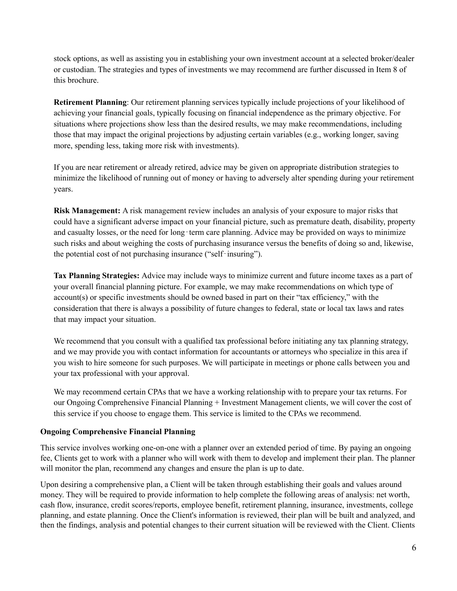stock options, as well as assisting you in establishing your own investment account at a selected broker/dealer or custodian. The strategies and types of investments we may recommend are further discussed in Item 8 of this brochure.

**Retirement Planning**: Our retirement planning services typically include projections of your likelihood of achieving your financial goals, typically focusing on financial independence as the primary objective. For situations where projections show less than the desired results, we may make recommendations, including those that may impact the original projections by adjusting certain variables (e.g., working longer, saving more, spending less, taking more risk with investments).

If you are near retirement or already retired, advice may be given on appropriate distribution strategies to minimize the likelihood of running out of money or having to adversely alter spending during your retirement years.

**Risk Management:** A risk management review includes an analysis of your exposure to major risks that could have a significant adverse impact on your financial picture, such as premature death, disability, property and casualty losses, or the need for long-term care planning. Advice may be provided on ways to minimize such risks and about weighing the costs of purchasing insurance versus the benefits of doing so and, likewise, the potential cost of not purchasing insurance ("self-insuring").

**Tax Planning Strategies:** Advice may include ways to minimize current and future income taxes as a part of your overall financial planning picture. For example, we may make recommendations on which type of account(s) or specific investments should be owned based in part on their "tax efficiency," with the consideration that there is always a possibility of future changes to federal, state or local tax laws and rates that may impact your situation.

We recommend that you consult with a qualified tax professional before initiating any tax planning strategy, and we may provide you with contact information for accountants or attorneys who specialize in this area if you wish to hire someone for such purposes. We will participate in meetings or phone calls between you and your tax professional with your approval.

We may recommend certain CPAs that we have a working relationship with to prepare your tax returns. For our Ongoing Comprehensive Financial Planning + Investment Management clients, we will cover the cost of this service if you choose to engage them. This service is limited to the CPAs we recommend.

#### **Ongoing Comprehensive Financial Planning**

This service involves working one-on-one with a planner over an extended period of time. By paying an ongoing fee, Clients get to work with a planner who will work with them to develop and implement their plan. The planner will monitor the plan, recommend any changes and ensure the plan is up to date.

Upon desiring a comprehensive plan, a Client will be taken through establishing their goals and values around money. They will be required to provide information to help complete the following areas of analysis: net worth, cash flow, insurance, credit scores/reports, employee benefit, retirement planning, insurance, investments, college planning, and estate planning. Once the Client's information is reviewed, their plan will be built and analyzed, and then the findings, analysis and potential changes to their current situation will be reviewed with the Client. Clients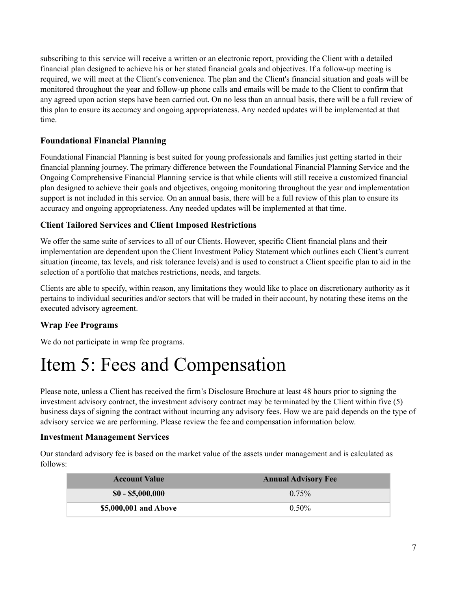subscribing to this service will receive a written or an electronic report, providing the Client with a detailed financial plan designed to achieve his or her stated financial goals and objectives. If a follow-up meeting is required, we will meet at the Client's convenience. The plan and the Client's financial situation and goals will be monitored throughout the year and follow-up phone calls and emails will be made to the Client to confirm that any agreed upon action steps have been carried out. On no less than an annual basis, there will be a full review of this plan to ensure its accuracy and ongoing appropriateness. Any needed updates will be implemented at that time.

#### **Foundational Financial Planning**

Foundational Financial Planning is best suited for young professionals and families just getting started in their financial planning journey. The primary difference between the Foundational Financial Planning Service and the Ongoing Comprehensive Financial Planning service is that while clients will still receive a customized financial plan designed to achieve their goals and objectives, ongoing monitoring throughout the year and implementation support is not included in this service. On an annual basis, there will be a full review of this plan to ensure its accuracy and ongoing appropriateness. Any needed updates will be implemented at that time.

#### **Client Tailored Services and Client Imposed Restrictions**

We offer the same suite of services to all of our Clients. However, specific Client financial plans and their implementation are dependent upon the Client Investment Policy Statement which outlines each Client's current situation (income, tax levels, and risk tolerance levels) and is used to construct a Client specific plan to aid in the selection of a portfolio that matches restrictions, needs, and targets.

Clients are able to specify, within reason, any limitations they would like to place on discretionary authority as it pertains to individual securities and/or sectors that will be traded in their account, by notating these items on the executed advisory agreement.

#### **Wrap Fee Programs**

We do not participate in wrap fee programs.

### <span id="page-6-0"></span>Item 5: Fees and Compensation

Please note, unless a Client has received the firm's Disclosure Brochure at least 48 hours prior to signing the investment advisory contract, the investment advisory contract may be terminated by the Client within five (5) business days of signing the contract without incurring any advisory fees. How we are paid depends on the type of advisory service we are performing. Please review the fee and compensation information below.

#### **Investment Management Services**

Our standard advisory fee is based on the market value of the assets under management and is calculated as follows:

| <b>Account Value</b>  | <b>Annual Advisory Fee</b> |
|-----------------------|----------------------------|
| $$0 - $5,000,000$     | $0.75\%$                   |
| \$5,000,001 and Above | $0.50\%$                   |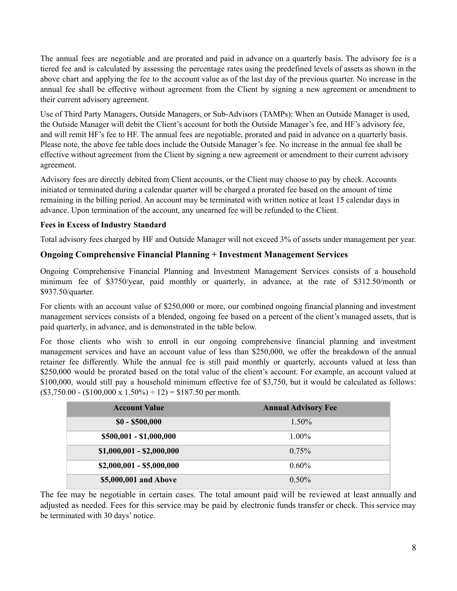The annual fees are negotiable and are prorated and paid in advance on a quarterly basis. The advisory fee is a tiered fee and is calculated by assessing the percentage rates using the predefined levels of assets as shown in the above chart and applying the fee to the account value as of the last day of the previous quarter. No increase in the annual fee shall be effective without agreement from the Client by signing a new agreement or amendment to their current advisory agreement.

Use of Third Party Managers, Outside Managers, or Sub-Advisors (TAMPs): When an Outside Manager is used, the Outside Manager will debit the Client's account for both the Outside Manager's fee, and HF's advisory fee, and will remit HF's fee to HF. The annual fees are negotiable, prorated and paid in advance on a quarterly basis. Please note, the above fee table does include the Outside Manager's fee. No increase in the annual fee shall be effective without agreement from the Client by signing a new agreement or amendment to their current advisory agreement.

Advisory fees are directly debited from Client accounts, or the Client may choose to pay by check. Accounts initiated or terminated during a calendar quarter will be charged a prorated fee based on the amount of time remaining in the billing period. An account may be terminated with written notice at least 15 calendar days in advance. Upon termination of the account, any unearned fee will be refunded to the Client.

#### **Fees in Excess of Industry Standard**

Total advisory fees charged by HF and Outside Manager will not exceed 3% of assets under management per year.

#### **Ongoing Comprehensive Financial Planning + Investment Management Services**

Ongoing Comprehensive Financial Planning and Investment Management Services consists of a household minimum fee of \$3750/year, paid monthly or quarterly, in advance, at the rate of \$312.50/month or \$937.50/quarter.

For clients with an account value of \$250,000 or more, our combined ongoing financial planning and investment management services consists of a blended, ongoing fee based on a percent of the client's managed assets, that is paid quarterly, in advance, and is demonstrated in the table below.

For those clients who wish to enroll in our ongoing comprehensive financial planning and investment management services and have an account value of less than \$250,000, we offer the breakdown of the annual retainer fee differently. While the annual fee is still paid monthly or quarterly, accounts valued at less than \$250,000 would be prorated based on the total value of the client's account. For example, an account valued at \$100,000, would still pay a household minimum effective fee of \$3,750, but it would be calculated as follows:  $($3,750.00 - ($100,000 \text{ x } 1.50\%) \div 12) = $187.50 \text{ per month.}$ 

| <b>Account Value</b>      | <b>Annual Advisory Fee</b> |
|---------------------------|----------------------------|
| $$0 - $500,000$           | 1.50%                      |
| \$500,001 - \$1,000,000   | $1.00\%$                   |
| $$1,000,001 - $2,000,000$ | $0.75\%$                   |
| $$2,000,001 - $5,000,000$ | $0.60\%$                   |
| \$5,000,001 and Above     | $0.50\%$                   |

The fee may be negotiable in certain cases. The total amount paid will be reviewed at least annually and adjusted as needed. Fees for this service may be paid by electronic funds transfer or check. This service may be terminated with 30 days' notice.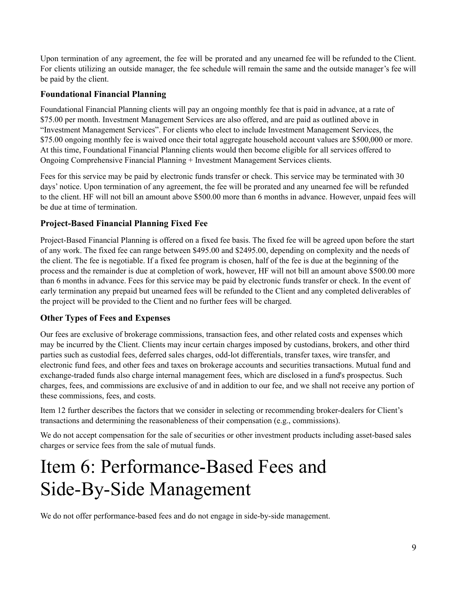Upon termination of any agreement, the fee will be prorated and any unearned fee will be refunded to the Client. For clients utilizing an outside manager, the fee schedule will remain the same and the outside manager's fee will be paid by the client.

#### **Foundational Financial Planning**

Foundational Financial Planning clients will pay an ongoing monthly fee that is paid in advance, at a rate of \$75.00 per month. Investment Management Services are also offered, and are paid as outlined above in "Investment Management Services". For clients who elect to include Investment Management Services, the \$75.00 ongoing monthly fee is waived once their total aggregate household account values are \$500,000 or more. At this time, Foundational Financial Planning clients would then become eligible for all services offered to Ongoing Comprehensive Financial Planning + Investment Management Services clients.

Fees for this service may be paid by electronic funds transfer or check. This service may be terminated with 30 days' notice. Upon termination of any agreement, the fee will be prorated and any unearned fee will be refunded to the client. HF will not bill an amount above \$500.00 more than 6 months in advance. However, unpaid fees will be due at time of termination.

#### **Project-Based Financial Planning Fixed Fee**

Project-Based Financial Planning is offered on a fixed fee basis. The fixed fee will be agreed upon before the start of any work. The fixed fee can range between \$495.00 and \$2495.00, depending on complexity and the needs of the client. The fee is negotiable. If a fixed fee program is chosen, half of the fee is due at the beginning of the process and the remainder is due at completion of work, however, HF will not bill an amount above \$500.00 more than 6 months in advance. Fees for this service may be paid by electronic funds transfer or check. In the event of early termination any prepaid but unearned fees will be refunded to the Client and any completed deliverables of the project will be provided to the Client and no further fees will be charged.

#### **Other Types of Fees and Expenses**

Our fees are exclusive of brokerage commissions, transaction fees, and other related costs and expenses which may be incurred by the Client. Clients may incur certain charges imposed by custodians, brokers, and other third parties such as custodial fees, deferred sales charges, odd-lot differentials, transfer taxes, wire transfer, and electronic fund fees, and other fees and taxes on brokerage accounts and securities transactions. Mutual fund and exchange-traded funds also charge internal management fees, which are disclosed in a fund's prospectus. Such charges, fees, and commissions are exclusive of and in addition to our fee, and we shall not receive any portion of these commissions, fees, and costs.

Item 12 further describes the factors that we consider in selecting or recommending broker-dealers for Client's transactions and determining the reasonableness of their compensation (e.g., commissions).

We do not accept compensation for the sale of securities or other investment products including asset-based sales charges or service fees from the sale of mutual funds.

### <span id="page-8-0"></span>Item 6: Performance-Based Fees and Side-By-Side Management

We do not offer performance-based fees and do not engage in side-by-side management.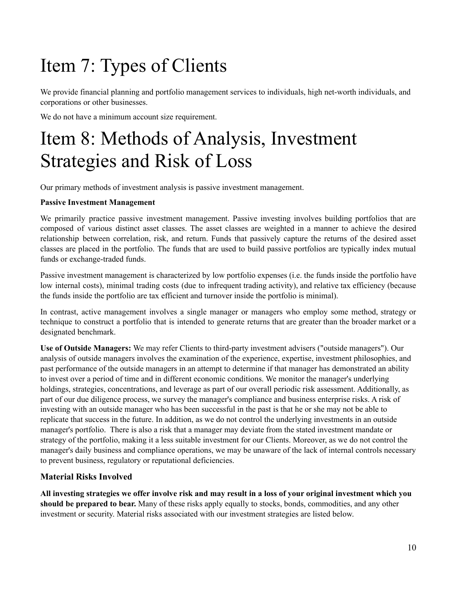# <span id="page-9-0"></span>Item 7: Types of Clients

We provide financial planning and portfolio management services to individuals, high net-worth individuals, and corporations or other businesses.

We do not have a minimum account size requirement.

# <span id="page-9-1"></span>Item 8: Methods of Analysis, Investment Strategies and Risk of Loss

Our primary methods of investment analysis is passive investment management.

#### **Passive Investment Management**

We primarily practice passive investment management. Passive investing involves building portfolios that are composed of various distinct asset classes. The asset classes are weighted in a manner to achieve the desired relationship between correlation, risk, and return. Funds that passively capture the returns of the desired asset classes are placed in the portfolio. The funds that are used to build passive portfolios are typically index mutual funds or exchange-traded funds.

Passive investment management is characterized by low portfolio expenses (i.e. the funds inside the portfolio have low internal costs), minimal trading costs (due to infrequent trading activity), and relative tax efficiency (because the funds inside the portfolio are tax efficient and turnover inside the portfolio is minimal).

In contrast, active management involves a single manager or managers who employ some method, strategy or technique to construct a portfolio that is intended to generate returns that are greater than the broader market or a designated benchmark.

**Use of Outside Managers:** We may refer Clients to third-party investment advisers ("outside managers"). Our analysis of outside managers involves the examination of the experience, expertise, investment philosophies, and past performance of the outside managers in an attempt to determine if that manager has demonstrated an ability to invest over a period of time and in different economic conditions. We monitor the manager's underlying holdings, strategies, concentrations, and leverage as part of our overall periodic risk assessment. Additionally, as part of our due diligence process, we survey the manager's compliance and business enterprise risks. A risk of investing with an outside manager who has been successful in the past is that he or she may not be able to replicate that success in the future. In addition, as we do not control the underlying investments in an outside manager's portfolio. There is also a risk that a manager may deviate from the stated investment mandate or strategy of the portfolio, making it a less suitable investment for our Clients. Moreover, as we do not control the manager's daily business and compliance operations, we may be unaware of the lack of internal controls necessary to prevent business, regulatory or reputational deficiencies.

#### **Material Risks Involved**

All investing strategies we offer involve risk and may result in a loss of your original investment which you **should be prepared to bear.** Many of these risks apply equally to stocks, bonds, commodities, and any other investment or security. Material risks associated with our investment strategies are listed below.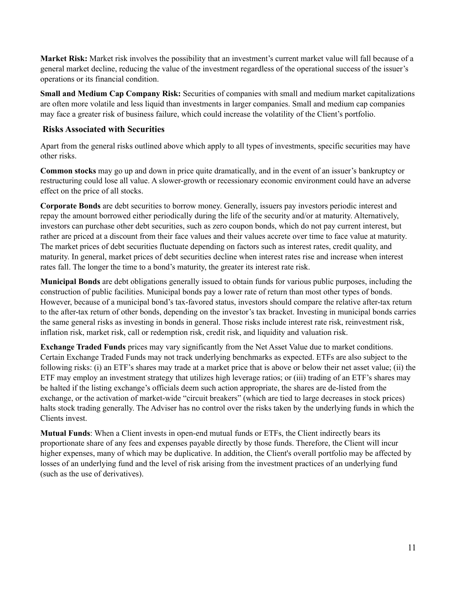**Market Risk:** Market risk involves the possibility that an investment's current market value will fall because of a general market decline, reducing the value of the investment regardless of the operational success of the issuer's operations or its financial condition.

**Small and Medium Cap Company Risk:** Securities of companies with small and medium market capitalizations are often more volatile and less liquid than investments in larger companies. Small and medium cap companies may face a greater risk of business failure, which could increase the volatility of the Client's portfolio.

#### **Risks Associated with Securities**

Apart from the general risks outlined above which apply to all types of investments, specific securities may have other risks.

**Common stocks** may go up and down in price quite dramatically, and in the event of an issuer's bankruptcy or restructuring could lose all value. A slower-growth or recessionary economic environment could have an adverse effect on the price of all stocks.

**Corporate Bonds** are debt securities to borrow money. Generally, issuers pay investors periodic interest and repay the amount borrowed either periodically during the life of the security and/or at maturity. Alternatively, investors can purchase other debt securities, such as zero coupon bonds, which do not pay current interest, but rather are priced at a discount from their face values and their values accrete over time to face value at maturity. The market prices of debt securities fluctuate depending on factors such as interest rates, credit quality, and maturity. In general, market prices of debt securities decline when interest rates rise and increase when interest rates fall. The longer the time to a bond's maturity, the greater its interest rate risk.

**Municipal Bonds** are debt obligations generally issued to obtain funds for various public purposes, including the construction of public facilities. Municipal bonds pay a lower rate of return than most other types of bonds. However, because of a municipal bond's tax-favored status, investors should compare the relative after-tax return to the after-tax return of other bonds, depending on the investor's tax bracket. Investing in municipal bonds carries the same general risks as investing in bonds in general. Those risks include interest rate risk, reinvestment risk, inflation risk, market risk, call or redemption risk, credit risk, and liquidity and valuation risk.

**Exchange Traded Funds** prices may vary significantly from the Net Asset Value due to market conditions. Certain Exchange Traded Funds may not track underlying benchmarks as expected. ETFs are also subject to the following risks: (i) an ETF's shares may trade at a market price that is above or below their net asset value; (ii) the ETF may employ an investment strategy that utilizes high leverage ratios; or (iii) trading of an ETF's shares may be halted if the listing exchange's officials deem such action appropriate, the shares are de-listed from the exchange, or the activation of market-wide "circuit breakers" (which are tied to large decreases in stock prices) halts stock trading generally. The Adviser has no control over the risks taken by the underlying funds in which the Clients invest.

**Mutual Funds**: When a Client invests in open-end mutual funds or ETFs, the Client indirectly bears its proportionate share of any fees and expenses payable directly by those funds. Therefore, the Client will incur higher expenses, many of which may be duplicative. In addition, the Client's overall portfolio may be affected by losses of an underlying fund and the level of risk arising from the investment practices of an underlying fund (such as the use of derivatives).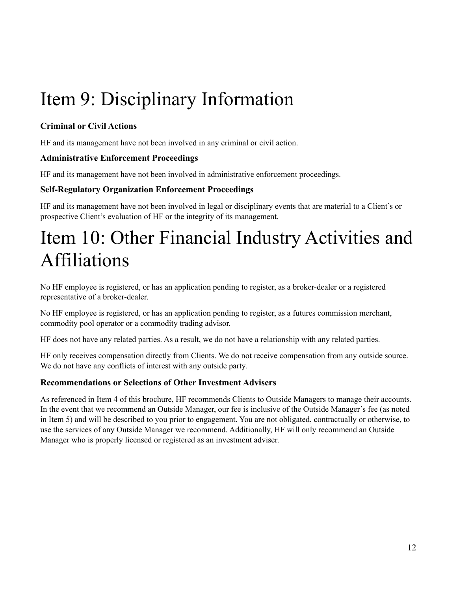# <span id="page-11-0"></span>Item 9: Disciplinary Information

#### **Criminal or Civil Actions**

HF and its management have not been involved in any criminal or civil action.

#### **Administrative Enforcement Proceedings**

HF and its management have not been involved in administrative enforcement proceedings.

#### **Self-Regulatory Organization Enforcement Proceedings**

HF and its management have not been involved in legal or disciplinary events that are material to a Client's or prospective Client's evaluation of HF or the integrity of its management.

# <span id="page-11-1"></span>Item 10: Other Financial Industry Activities and Affiliations

No HF employee is registered, or has an application pending to register, as a broker-dealer or a registered representative of a broker-dealer.

No HF employee is registered, or has an application pending to register, as a futures commission merchant, commodity pool operator or a commodity trading advisor.

HF does not have any related parties. As a result, we do not have a relationship with any related parties.

HF only receives compensation directly from Clients. We do not receive compensation from any outside source. We do not have any conflicts of interest with any outside party.

#### **Recommendations or Selections of Other Investment Advisers**

As referenced in Item 4 of this brochure, HF recommends Clients to Outside Managers to manage their accounts. In the event that we recommend an Outside Manager, our fee is inclusive of the Outside Manager's fee (as noted in Item 5) and will be described to you prior to engagement. You are not obligated, contractually or otherwise, to use the services of any Outside Manager we recommend. Additionally, HF will only recommend an Outside Manager who is properly licensed or registered as an investment adviser.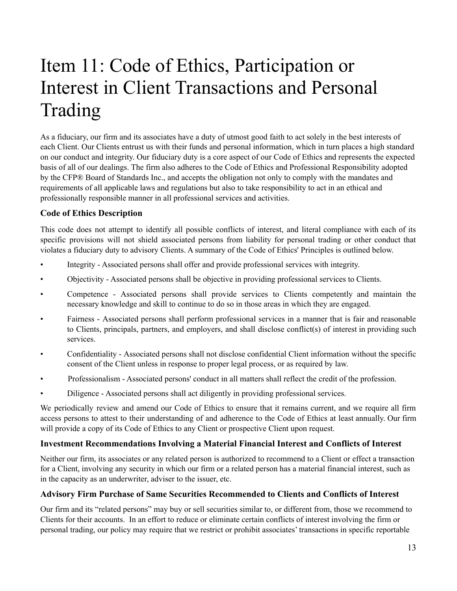# Item 11: Code of Ethics, Participation or Interest in Client Transactions and Personal Trading

<span id="page-12-0"></span>As a fiduciary, our firm and its associates have a duty of utmost good faith to act solely in the best interests of each Client. Our Clients entrust us with their funds and personal information, which in turn places a high standard on our conduct and integrity. Our fiduciary duty is a core aspect of our Code of Ethics and represents the expected basis of all of our dealings. The firm also adheres to the Code of Ethics and Professional Responsibility adopted by the CFP® Board of Standards Inc., and accepts the obligation not only to comply with the mandates and requirements of all applicable laws and regulations but also to take responsibility to act in an ethical and professionally responsible manner in all professional services and activities.

#### **Code of Ethics Description**

This code does not attempt to identify all possible conflicts of interest, and literal compliance with each of its specific provisions will not shield associated persons from liability for personal trading or other conduct that violates a fiduciary duty to advisory Clients. A summary of the Code of Ethics' Principles is outlined below.

- Integrity Associated persons shall offer and provide professional services with integrity.
- Objectivity Associated persons shall be objective in providing professional services to Clients.
- Competence Associated persons shall provide services to Clients competently and maintain the necessary knowledge and skill to continue to do so in those areas in which they are engaged.
- Fairness Associated persons shall perform professional services in a manner that is fair and reasonable to Clients, principals, partners, and employers, and shall disclose conflict(s) of interest in providing such services.
- Confidentiality Associated persons shall not disclose confidential Client information without the specific consent of the Client unless in response to proper legal process, or as required by law.
- Professionalism Associated persons' conduct in all matters shall reflect the credit of the profession.
- Diligence Associated persons shall act diligently in providing professional services.

We periodically review and amend our Code of Ethics to ensure that it remains current, and we require all firm access persons to attest to their understanding of and adherence to the Code of Ethics at least annually. Our firm will provide a copy of its Code of Ethics to any Client or prospective Client upon request.

#### **Investment Recommendations Involving a Material Financial Interest and Conflicts of Interest**

Neither our firm, its associates or any related person is authorized to recommend to a Client or effect a transaction for a Client, involving any security in which our firm or a related person has a material financial interest, such as in the capacity as an underwriter, adviser to the issuer, etc.

#### **Advisory Firm Purchase of Same Securities Recommended to Clients and Conflicts of Interest**

Our firm and its "related persons" may buy or sell securities similar to, or different from, those we recommend to Clients for their accounts. In an effort to reduce or eliminate certain conflicts of interest involving the firm or personal trading, our policy may require that we restrict or prohibit associates' transactions in specific reportable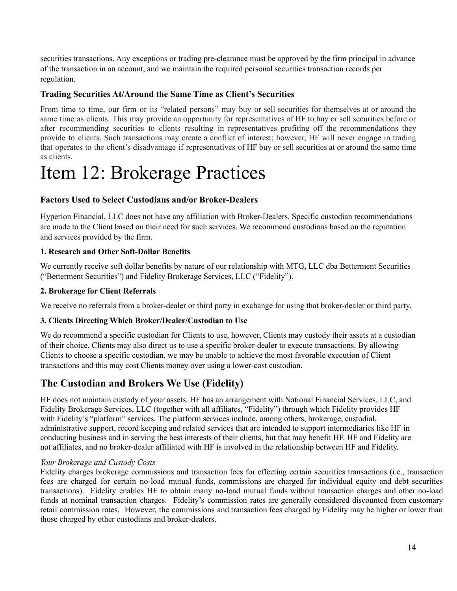securities transactions. Any exceptions or trading pre-clearance must be approved by the firm principal in advance of the transaction in an account, and we maintain the required personal securities transaction records per regulation.

#### **Trading Securities At/Around the Same Time as Client's Securities**

From time to time, our firm or its "related persons" may buy or sell securities for themselves at or around the same time as clients. This may provide an opportunity for representatives of HF to buy or sell securities before or after recommending securities to clients resulting in representatives profiting off the recommendations they provide to clients. Such transactions may create a conflict of interest; however, HF will never engage in trading that operates to the client's disadvantage if representatives of HF buy or sell securities at or around the same time as clients.

### <span id="page-13-0"></span>Item 12: Brokerage Practices

#### **Factors Used to Select Custodians and/or Broker-Dealers**

Hyperion Financial, LLC does not have any affiliation with Broker-Dealers. Specific custodian recommendations are made to the Client based on their need for such services. We recommend custodians based on the reputation and services provided by the firm.

#### **1. Research and Other Soft-Dollar Benefits**

We currently receive soft dollar benefits by nature of our relationship with MTG, LLC dba Betterment Securities ("Betterment Securities") and Fidelity Brokerage Services, LLC ("Fidelity").

#### **2. Brokerage for Client Referrals**

We receive no referrals from a broker-dealer or third party in exchange for using that broker-dealer or third party.

#### **3. Clients Directing Which Broker/Dealer/Custodian to Use**

We do recommend a specific custodian for Clients to use, however, Clients may custody their assets at a custodian of their choice. Clients may also direct us to use a specific broker-dealer to execute transactions. By allowing Clients to choose a specific custodian, we may be unable to achieve the most favorable execution of Client transactions and this may cost Clients money over using a lower-cost custodian.

### **The Custodian and Brokers We Use (Fidelity)**

HF does not maintain custody of your assets. HF has an arrangement with National Financial Services, LLC, and Fidelity Brokerage Services, LLC (together with all affiliates, "Fidelity") through which Fidelity provides HF with Fidelity's "platform" services. The platform services include, among others, brokerage, custodial, administrative support, record keeping and related services that are intended to support intermediaries like HF in conducting business and in serving the best interests of their clients, but that may benefit HF. HF and Fidelity are not affiliates, and no broker-dealer affiliated with HF is involved in the relationship between HF and Fidelity.

#### *Your Brokerage and Custody Costs*

Fidelity charges brokerage commissions and transaction fees for effecting certain securities transactions (i.e., transaction fees are charged for certain no-load mutual funds, commissions are charged for individual equity and debt securities transactions). Fidelity enables HF to obtain many no-load mutual funds without transaction charges and other no-load funds at nominal transaction charges. Fidelity's commission rates are generally considered discounted from customary retail commission rates. However, the commissions and transaction fees charged by Fidelity may be higher or lower than those charged by other custodians and broker-dealers.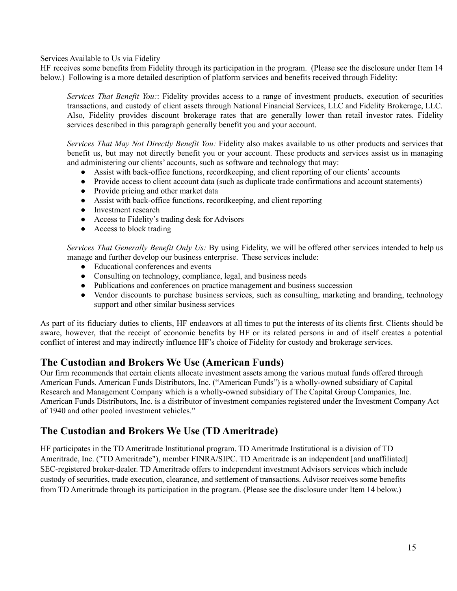Services Available to Us via Fidelity

HF receives some benefits from Fidelity through its participation in the program. (Please see the disclosure under Item 14 below.) Following is a more detailed description of platform services and benefits received through Fidelity:

*Services That Benefit You:*: Fidelity provides access to a range of investment products, execution of securities transactions, and custody of client assets through National Financial Services, LLC and Fidelity Brokerage, LLC. Also, Fidelity provides discount brokerage rates that are generally lower than retail investor rates. Fidelity services described in this paragraph generally benefit you and your account.

*Services That May Not Directly Benefit You:* Fidelity also makes available to us other products and services that benefit us, but may not directly benefit you or your account. These products and services assist us in managing and administering our clients' accounts, such as software and technology that may:

- Assist with back-office functions, recordkeeping, and client reporting of our clients' accounts
- Provide access to client account data (such as duplicate trade confirmations and account statements)
- Provide pricing and other market data
- Assist with back-office functions, recordkeeping, and client reporting
- Investment research
- Access to Fidelity's trading desk for Advisors
- Access to block trading

*Services That Generally Benefit Only Us:* By using Fidelity, we will be offered other services intended to help us manage and further develop our business enterprise. These services include:

- Educational conferences and events
- Consulting on technology, compliance, legal, and business needs
- Publications and conferences on practice management and business succession
- Vendor discounts to purchase business services, such as consulting, marketing and branding, technology support and other similar business services

As part of its fiduciary duties to clients, HF endeavors at all times to put the interests of its clients first. Clients should be aware, however, that the receipt of economic benefits by HF or its related persons in and of itself creates a potential conflict of interest and may indirectly influence HF's choice of Fidelity for custody and brokerage services.

#### **The Custodian and Brokers We Use (American Funds)**

Our firm recommends that certain clients allocate investment assets among the various mutual funds offered through American Funds. American Funds Distributors, Inc. ("American Funds") is a wholly-owned subsidiary of Capital Research and Management Company which is a wholly-owned subsidiary of The Capital Group Companies, Inc. American Funds Distributors, Inc. is a distributor of investment companies registered under the Investment Company Act of 1940 and other pooled investment vehicles."

### **The Custodian and Brokers We Use (TD Ameritrade)**

HF participates in the TD Ameritrade Institutional program. TD Ameritrade Institutional is a division of TD Ameritrade, Inc. ("TD Ameritrade"), member FINRA/SIPC. TD Ameritrade is an independent [and unaffiliated] SEC-registered broker-dealer. TD Ameritrade offers to independent investment Advisors services which include custody of securities, trade execution, clearance, and settlement of transactions. Advisor receives some benefits from TD Ameritrade through its participation in the program. (Please see the disclosure under Item 14 below.)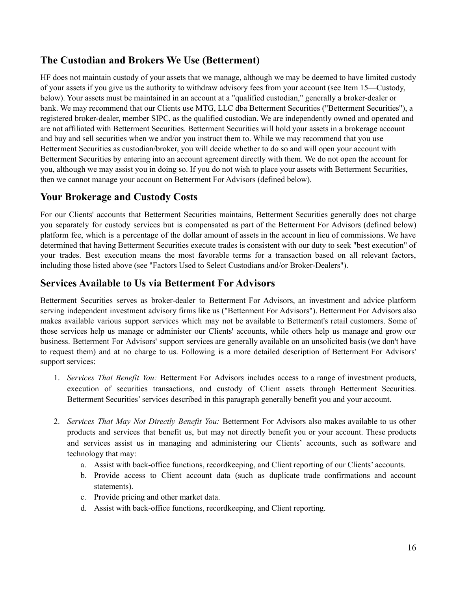### **The Custodian and Brokers We Use (Betterment)**

HF does not maintain custody of your assets that we manage, although we may be deemed to have limited custody of your assets if you give us the authority to withdraw advisory fees from your account (see Item 15—Custody, below). Your assets must be maintained in an account at a "qualified custodian," generally a broker-dealer or bank. We may recommend that our Clients use MTG, LLC dba Betterment Securities ("Betterment Securities"), a registered broker-dealer, member SIPC, as the qualified custodian. We are independently owned and operated and are not affiliated with Betterment Securities. Betterment Securities will hold your assets in a brokerage account and buy and sell securities when we and/or you instruct them to. While we may recommend that you use Betterment Securities as custodian/broker, you will decide whether to do so and will open your account with Betterment Securities by entering into an account agreement directly with them. We do not open the account for you, although we may assist you in doing so. If you do not wish to place your assets with Betterment Securities, then we cannot manage your account on Betterment For Advisors (defined below).

### **Your Brokerage and Custody Costs**

For our Clients' accounts that Betterment Securities maintains, Betterment Securities generally does not charge you separately for custody services but is compensated as part of the Betterment For Advisors (defined below) platform fee, which is a percentage of the dollar amount of assets in the account in lieu of commissions. We have determined that having Betterment Securities execute trades is consistent with our duty to seek "best execution" of your trades. Best execution means the most favorable terms for a transaction based on all relevant factors, including those listed above (see "Factors Used to Select Custodians and/or Broker-Dealers").

#### **Services Available to Us via Betterment For Advisors**

Betterment Securities serves as broker-dealer to Betterment For Advisors, an investment and advice platform serving independent investment advisory firms like us ("Betterment For Advisors"). Betterment For Advisors also makes available various support services which may not be available to Betterment's retail customers. Some of those services help us manage or administer our Clients' accounts, while others help us manage and grow our business. Betterment For Advisors' support services are generally available on an unsolicited basis (we don't have to request them) and at no charge to us. Following is a more detailed description of Betterment For Advisors' support services:

- 1. *Services That Benefit You:* Betterment For Advisors includes access to a range of investment products, execution of securities transactions, and custody of Client assets through Betterment Securities. Betterment Securities' services described in this paragraph generally benefit you and your account.
- 2. *Services That May Not Directly Benefit You:* Betterment For Advisors also makes available to us other products and services that benefit us, but may not directly benefit you or your account. These products and services assist us in managing and administering our Clients' accounts, such as software and technology that may:
	- a. Assist with back-office functions, recordkeeping, and Client reporting of our Clients' accounts.
	- b. Provide access to Client account data (such as duplicate trade confirmations and account statements).
	- c. Provide pricing and other market data.
	- d. Assist with back-office functions, recordkeeping, and Client reporting.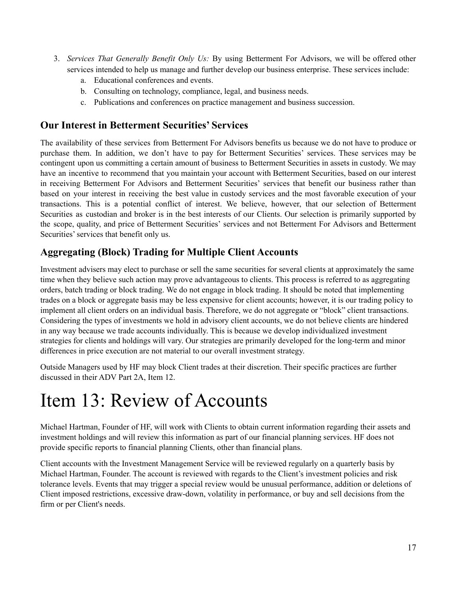- 3. *Services That Generally Benefit Only Us:* By using Betterment For Advisors, we will be offered other services intended to help us manage and further develop our business enterprise. These services include:
	- a. Educational conferences and events.
	- b. Consulting on technology, compliance, legal, and business needs.
	- c. Publications and conferences on practice management and business succession.

#### **Our Interest in Betterment Securities' Services**

The availability of these services from Betterment For Advisors benefits us because we do not have to produce or purchase them. In addition, we don't have to pay for Betterment Securities' services. These services may be contingent upon us committing a certain amount of business to Betterment Securities in assets in custody. We may have an incentive to recommend that you maintain your account with Betterment Securities, based on our interest in receiving Betterment For Advisors and Betterment Securities' services that benefit our business rather than based on your interest in receiving the best value in custody services and the most favorable execution of your transactions. This is a potential conflict of interest. We believe, however, that our selection of Betterment Securities as custodian and broker is in the best interests of our Clients. Our selection is primarily supported by the scope, quality, and price of Betterment Securities' services and not Betterment For Advisors and Betterment Securities' services that benefit only us.

### **Aggregating (Block) Trading for Multiple Client Accounts**

Investment advisers may elect to purchase or sell the same securities for several clients at approximately the same time when they believe such action may prove advantageous to clients. This process is referred to as aggregating orders, batch trading or block trading. We do not engage in block trading. It should be noted that implementing trades on a block or aggregate basis may be less expensive for client accounts; however, it is our trading policy to implement all client orders on an individual basis. Therefore, we do not aggregate or "block" client transactions. Considering the types of investments we hold in advisory client accounts, we do not believe clients are hindered in any way because we trade accounts individually. This is because we develop individualized investment strategies for clients and holdings will vary. Our strategies are primarily developed for the long-term and minor differences in price execution are not material to our overall investment strategy.

Outside Managers used by HF may block Client trades at their discretion. Their specific practices are further discussed in their ADV Part 2A, Item 12.

### <span id="page-16-0"></span>Item 13: Review of Accounts

Michael Hartman, Founder of HF, will work with Clients to obtain current information regarding their assets and investment holdings and will review this information as part of our financial planning services. HF does not provide specific reports to financial planning Clients, other than financial plans.

Client accounts with the Investment Management Service will be reviewed regularly on a quarterly basis by Michael Hartman, Founder. The account is reviewed with regards to the Client's investment policies and risk tolerance levels. Events that may trigger a special review would be unusual performance, addition or deletions of Client imposed restrictions, excessive draw-down, volatility in performance, or buy and sell decisions from the firm or per Client's needs.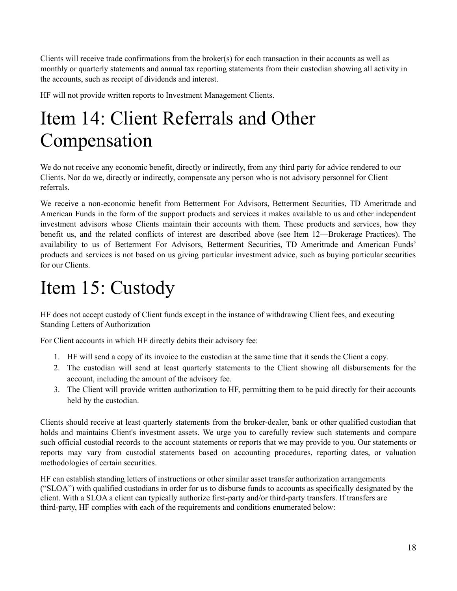Clients will receive trade confirmations from the broker(s) for each transaction in their accounts as well as monthly or quarterly statements and annual tax reporting statements from their custodian showing all activity in the accounts, such as receipt of dividends and interest.

HF will not provide written reports to Investment Management Clients.

# <span id="page-17-0"></span>Item 14: Client Referrals and Other Compensation

We do not receive any economic benefit, directly or indirectly, from any third party for advice rendered to our Clients. Nor do we, directly or indirectly, compensate any person who is not advisory personnel for Client referrals.

We receive a non-economic benefit from Betterment For Advisors, Betterment Securities, TD Ameritrade and American Funds in the form of the support products and services it makes available to us and other independent investment advisors whose Clients maintain their accounts with them. These products and services, how they benefit us, and the related conflicts of interest are described above (see Item 12—Brokerage Practices). The availability to us of Betterment For Advisors, Betterment Securities, TD Ameritrade and American Funds' products and services is not based on us giving particular investment advice, such as buying particular securities for our Clients.

# <span id="page-17-1"></span>Item 15: Custody

HF does not accept custody of Client funds except in the instance of withdrawing Client fees, and executing Standing Letters of Authorization

For Client accounts in which HF directly debits their advisory fee:

- 1. HF will send a copy of its invoice to the custodian at the same time that it sends the Client a copy.
- 2. The custodian will send at least quarterly statements to the Client showing all disbursements for the account, including the amount of the advisory fee.
- 3. The Client will provide written authorization to HF, permitting them to be paid directly for their accounts held by the custodian.

Clients should receive at least quarterly statements from the broker-dealer, bank or other qualified custodian that holds and maintains Client's investment assets. We urge you to carefully review such statements and compare such official custodial records to the account statements or reports that we may provide to you. Our statements or reports may vary from custodial statements based on accounting procedures, reporting dates, or valuation methodologies of certain securities.

HF can establish standing letters of instructions or other similar asset transfer authorization arrangements ("SLOA") with qualified custodians in order for us to disburse funds to accounts as specifically designated by the client. With a SLOA a client can typically authorize first-party and/or third-party transfers. If transfers are third-party, HF complies with each of the requirements and conditions enumerated below: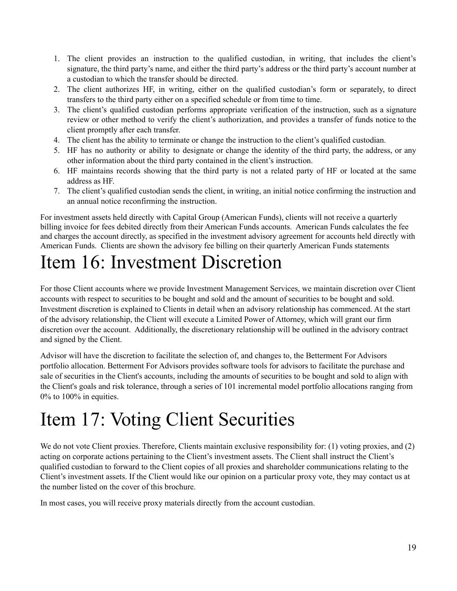- 1. The client provides an instruction to the qualified custodian, in writing, that includes the client's signature, the third party's name, and either the third party's address or the third party's account number at a custodian to which the transfer should be directed.
- 2. The client authorizes HF, in writing, either on the qualified custodian's form or separately, to direct transfers to the third party either on a specified schedule or from time to time.
- 3. The client's qualified custodian performs appropriate verification of the instruction, such as a signature review or other method to verify the client's authorization, and provides a transfer of funds notice to the client promptly after each transfer.
- 4. The client has the ability to terminate or change the instruction to the client's qualified custodian.
- 5. HF has no authority or ability to designate or change the identity of the third party, the address, or any other information about the third party contained in the client's instruction.
- 6. HF maintains records showing that the third party is not a related party of HF or located at the same address as HF.
- 7. The client's qualified custodian sends the client, in writing, an initial notice confirming the instruction and an annual notice reconfirming the instruction.

For investment assets held directly with Capital Group (American Funds), clients will not receive a quarterly billing invoice for fees debited directly from their American Funds accounts. American Funds calculates the fee and charges the account directly, as specified in the investment advisory agreement for accounts held directly with American Funds. Clients are shown the advisory fee billing on their quarterly American Funds statements

# <span id="page-18-0"></span>Item 16: Investment Discretion

For those Client accounts where we provide Investment Management Services, we maintain discretion over Client accounts with respect to securities to be bought and sold and the amount of securities to be bought and sold. Investment discretion is explained to Clients in detail when an advisory relationship has commenced. At the start of the advisory relationship, the Client will execute a Limited Power of Attorney, which will grant our firm discretion over the account. Additionally, the discretionary relationship will be outlined in the advisory contract and signed by the Client.

Advisor will have the discretion to facilitate the selection of, and changes to, the Betterment For Advisors portfolio allocation. Betterment For Advisors provides software tools for advisors to facilitate the purchase and sale of securities in the Client's accounts, including the amounts of securities to be bought and sold to align with the Client's goals and risk tolerance, through a series of 101 incremental model portfolio allocations ranging from 0% to 100% in equities.

# <span id="page-18-1"></span>Item 17: Voting Client Securities

We do not vote Client proxies. Therefore, Clients maintain exclusive responsibility for: (1) voting proxies, and (2) acting on corporate actions pertaining to the Client's investment assets. The Client shall instruct the Client's qualified custodian to forward to the Client copies of all proxies and shareholder communications relating to the Client's investment assets. If the Client would like our opinion on a particular proxy vote, they may contact us at the number listed on the cover of this brochure.

In most cases, you will receive proxy materials directly from the account custodian.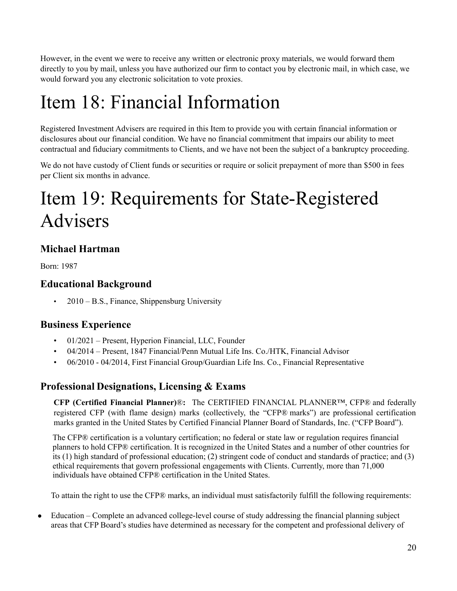However, in the event we were to receive any written or electronic proxy materials, we would forward them directly to you by mail, unless you have authorized our firm to contact you by electronic mail, in which case, we would forward you any electronic solicitation to vote proxies.

# Item 18: Financial Information

Registered Investment Advisers are required in this Item to provide you with certain financial information or disclosures about our financial condition. We have no financial commitment that impairs our ability to meet contractual and fiduciary commitments to Clients, and we have not been the subject of a bankruptcy proceeding.

We do not have custody of Client funds or securities or require or solicit prepayment of more than \$500 in fees per Client six months in advance.

# <span id="page-19-0"></span>Item 19: Requirements for State-Registered Advisers

### **Michael Hartman**

Born: 1987

### **Educational Background**

• 2010 – B.S., Finance, Shippensburg University

### **Business Experience**

- 01/2021 Present, Hyperion Financial, LLC, Founder
- 04/2014 Present, 1847 Financial/Penn Mutual Life Ins. Co./HTK, Financial Advisor
- 06/2010 04/2014, First Financial Group/Guardian Life Ins. Co., Financial Representative

### **Professional Designations, Licensing & Exams**

**CFP (Certified Financial Planner)**®**:** The CERTIFIED FINANCIAL PLANNER™, CFP® and federally registered CFP (with flame design) marks (collectively, the "CFP® marks") are professional certification marks granted in the United States by Certified Financial Planner Board of Standards, Inc. ("CFP Board").

The CFP® certification is a voluntary certification; no federal or state law or regulation requires financial planners to hold CFP® certification. It is recognized in the United States and a number of other countries for its (1) high standard of professional education; (2) stringent code of conduct and standards of practice; and (3) ethical requirements that govern professional engagements with Clients. Currently, more than 71,000 individuals have obtained CFP® certification in the United States.

To attain the right to use the CFP® marks, an individual must satisfactorily fulfill the following requirements:

• Education – Complete an advanced college-level course of study addressing the financial planning subject areas that CFP Board's studies have determined as necessary for the competent and professional delivery of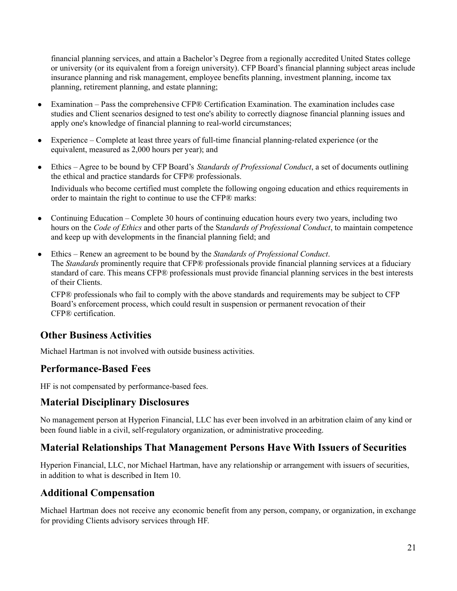financial planning services, and attain a Bachelor's Degree from a regionally accredited United States college or university (or its equivalent from a foreign university). CFP Board's financial planning subject areas include insurance planning and risk management, employee benefits planning, investment planning, income tax planning, retirement planning, and estate planning;

- Examination Pass the comprehensive CFP® Certification Examination. The examination includes case studies and Client scenarios designed to test one's ability to correctly diagnose financial planning issues and apply one's knowledge of financial planning to real-world circumstances;
- Experience Complete at least three years of full-time financial planning-related experience (or the equivalent, measured as 2,000 hours per year); and
- Ethics Agree to be bound by CFP Board's *Standards of Professional Conduct*, a set of documents outlining the ethical and practice standards for CFP® professionals.

Individuals who become certified must complete the following ongoing education and ethics requirements in order to maintain the right to continue to use the CFP® marks:

- Continuing Education Complete 30 hours of continuing education hours every two years, including two hours on the *Code of Ethics* and other parts of the S*tandards of Professional Conduct*, to maintain competence and keep up with developments in the financial planning field; and
- Ethics Renew an agreement to be bound by the *Standards of Professional Conduct*. The *Standards* prominently require that CFP® professionals provide financial planning services at a fiduciary standard of care. This means CFP® professionals must provide financial planning services in the best interests of their Clients.

CFP® professionals who fail to comply with the above standards and requirements may be subject to CFP Board's enforcement process, which could result in suspension or permanent revocation of their CFP® certification.

### **Other Business Activities**

Michael Hartman is not involved with outside business activities.

### **Performance-Based Fees**

HF is not compensated by performance-based fees.

### **Material Disciplinary Disclosures**

No management person at Hyperion Financial, LLC has ever been involved in an arbitration claim of any kind or been found liable in a civil, self-regulatory organization, or administrative proceeding.

### **Material Relationships That Management Persons Have With Issuers of Securities**

Hyperion Financial, LLC, nor Michael Hartman, have any relationship or arrangement with issuers of securities, in addition to what is described in Item 10.

### **Additional Compensation**

Michael Hartman does not receive any economic benefit from any person, company, or organization, in exchange for providing Clients advisory services through HF.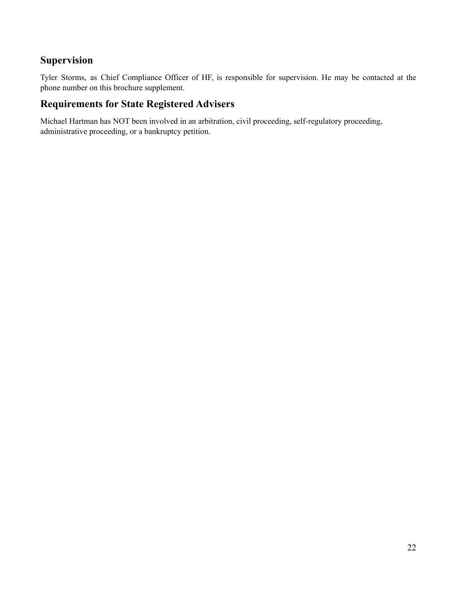### **Supervision**

Tyler Storms, as Chief Compliance Officer of HF, is responsible for supervision. He may be contacted at the phone number on this brochure supplement.

### **Requirements for State Registered Advisers**

Michael Hartman has NOT been involved in an arbitration, civil proceeding, self-regulatory proceeding, administrative proceeding, or a bankruptcy petition.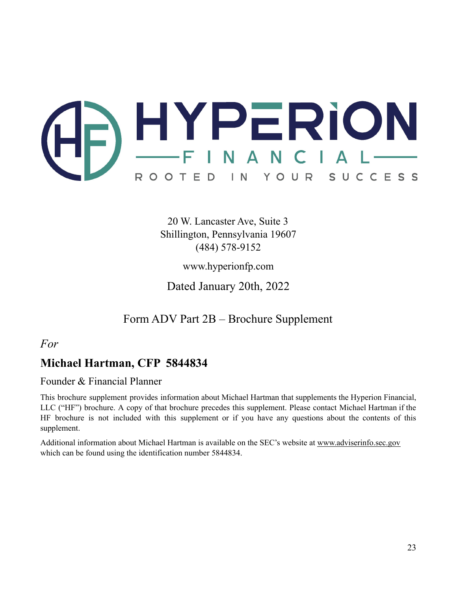

20 W. Lancaster Ave, Suite 3 Shillington, Pennsylvania 19607 (484) 578-9152

www.hyperionfp.com

Dated January 20th, 2022

Form ADV Part 2B – Brochure Supplement

<span id="page-22-0"></span>*For*

### **Michael Hartman, CFP 5844834**

Founder & Financial Planner

This brochure supplement provides information about Michael Hartman that supplements the Hyperion Financial, LLC ("HF") brochure. A copy of that brochure precedes this supplement. Please contact Michael Hartman if the HF brochure is not included with this supplement or if you have any questions about the contents of this supplement.

Additional information about Michael Hartman is available on the SEC's website at [www.adviserinfo.sec.gov](http://www.adviserinfo.sec.gov) which can be found using the identification number 5844834.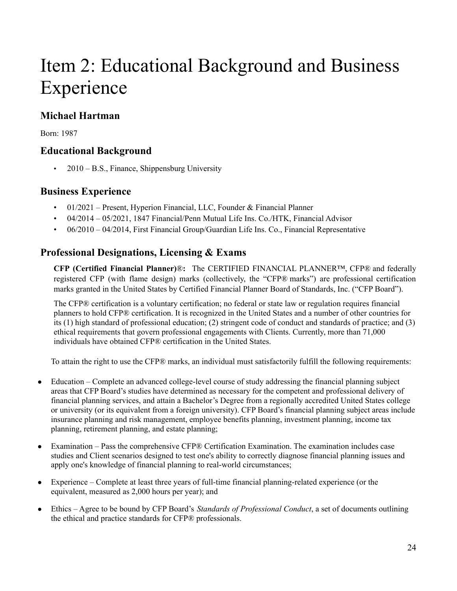# Item 2: Educational Background and Business Experience

### **Michael Hartman**

Born: 1987

### **Educational Background**

• 2010 – B.S., Finance, Shippensburg University

### **Business Experience**

- 01/2021 Present, Hyperion Financial, LLC, Founder & Financial Planner
- 04/2014 05/2021, 1847 Financial/Penn Mutual Life Ins. Co./HTK, Financial Advisor
- 06/2010 04/2014, First Financial Group/Guardian Life Ins. Co., Financial Representative

### **Professional Designations, Licensing & Exams**

**CFP (Certified Financial Planner)**®**:** The CERTIFIED FINANCIAL PLANNER™, CFP® and federally registered CFP (with flame design) marks (collectively, the "CFP® marks") are professional certification marks granted in the United States by Certified Financial Planner Board of Standards, Inc. ("CFP Board").

The CFP® certification is a voluntary certification; no federal or state law or regulation requires financial planners to hold CFP® certification. It is recognized in the United States and a number of other countries for its (1) high standard of professional education; (2) stringent code of conduct and standards of practice; and (3) ethical requirements that govern professional engagements with Clients. Currently, more than 71,000 individuals have obtained CFP® certification in the United States.

To attain the right to use the CFP® marks, an individual must satisfactorily fulfill the following requirements:

- Education Complete an advanced college-level course of study addressing the financial planning subject areas that CFP Board's studies have determined as necessary for the competent and professional delivery of financial planning services, and attain a Bachelor's Degree from a regionally accredited United States college or university (or its equivalent from a foreign university). CFP Board's financial planning subject areas include insurance planning and risk management, employee benefits planning, investment planning, income tax planning, retirement planning, and estate planning;
- Examination Pass the comprehensive CFP® Certification Examination. The examination includes case studies and Client scenarios designed to test one's ability to correctly diagnose financial planning issues and apply one's knowledge of financial planning to real-world circumstances;
- Experience Complete at least three years of full-time financial planning-related experience (or the equivalent, measured as 2,000 hours per year); and
- Ethics Agree to be bound by CFP Board's *Standards of Professional Conduct*, a set of documents outlining the ethical and practice standards for CFP® professionals.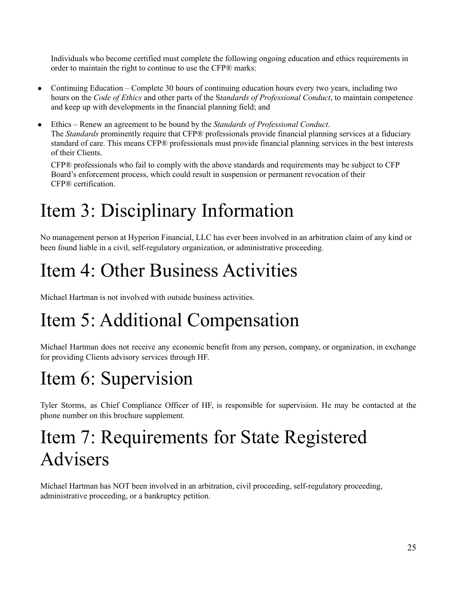Individuals who become certified must complete the following ongoing education and ethics requirements in order to maintain the right to continue to use the CFP® marks:

- Continuing Education Complete 30 hours of continuing education hours every two years, including two hours on the *Code of Ethics* and other parts of the S*tandards of Professional Conduct*, to maintain competence and keep up with developments in the financial planning field; and
- Ethics Renew an agreement to be bound by the *Standards of Professional Conduct*. The *Standards* prominently require that CFP® professionals provide financial planning services at a fiduciary standard of care. This means CFP® professionals must provide financial planning services in the best interests of their Clients.

CFP® professionals who fail to comply with the above standards and requirements may be subject to CFP Board's enforcement process, which could result in suspension or permanent revocation of their CFP® certification.

# Item 3: Disciplinary Information

No management person at Hyperion Financial, LLC has ever been involved in an arbitration claim of any kind or been found liable in a civil, self-regulatory organization, or administrative proceeding.

# Item 4: Other Business Activities

Michael Hartman is not involved with outside business activities.

# Item 5: Additional Compensation

Michael Hartman does not receive any economic benefit from any person, company, or organization, in exchange for providing Clients advisory services through HF.

# Item 6: Supervision

Tyler Storms, as Chief Compliance Officer of HF, is responsible for supervision. He may be contacted at the phone number on this brochure supplement.

### Item 7: Requirements for State Registered Advisers

Michael Hartman has NOT been involved in an arbitration, civil proceeding, self-regulatory proceeding, administrative proceeding, or a bankruptcy petition.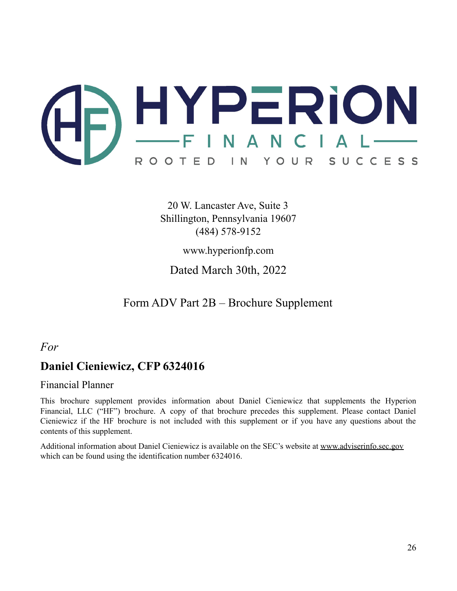

20 W. Lancaster Ave, Suite 3 Shillington, Pennsylvania 19607 (484) 578-9152

www.hyperionfp.com

Dated March 30th, 2022

Form ADV Part 2B – Brochure Supplement

### <span id="page-25-0"></span>*For*

### **Daniel Cieniewicz, CFP 6324016**

#### Financial Planner

This brochure supplement provides information about Daniel Cieniewicz that supplements the Hyperion Financial, LLC ("HF") brochure. A copy of that brochure precedes this supplement. Please contact Daniel Cieniewicz if the HF brochure is not included with this supplement or if you have any questions about the contents of this supplement.

Additional information about Daniel Cieniewicz is available on the SEC's website at [www.adviserinfo.sec.gov](http://www.adviserinfo.sec.gov) which can be found using the identification number 6324016.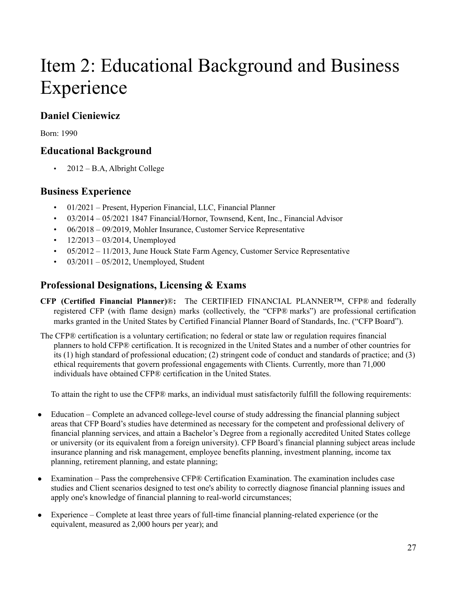# Item 2: Educational Background and Business Experience

### **Daniel Cieniewicz**

Born: 1990

### **Educational Background**

• 2012 – B.A, Albright College

### **Business Experience**

- 01/2021 Present, Hyperion Financial, LLC, Financial Planner
- 03/2014 05/2021 1847 Financial/Hornor, Townsend, Kent, Inc., Financial Advisor
- 06/2018 09/2019, Mohler Insurance, Customer Service Representative
- $12/2013 03/2014$ , Unemployed
- 05/2012 11/2013, June Houck State Farm Agency, Customer Service Representative
- $03/2011 05/2012$ , Unemployed, Student

### **Professional Designations, Licensing & Exams**

- **CFP (Certified Financial Planner)**®**:** The CERTIFIED FINANCIAL PLANNER™, CFP® and federally registered CFP (with flame design) marks (collectively, the "CFP® marks") are professional certification marks granted in the United States by Certified Financial Planner Board of Standards, Inc. ("CFP Board").
- The CFP® certification is a voluntary certification; no federal or state law or regulation requires financial planners to hold CFP® certification. It is recognized in the United States and a number of other countries for its (1) high standard of professional education; (2) stringent code of conduct and standards of practice; and (3) ethical requirements that govern professional engagements with Clients. Currently, more than 71,000 individuals have obtained CFP® certification in the United States.

<span id="page-26-0"></span>To attain the right to use the CFP® marks, an individual must satisfactorily fulfill the following requirements:

- Education Complete an advanced college-level course of study addressing the financial planning subject areas that CFP Board's studies have determined as necessary for the competent and professional delivery of financial planning services, and attain a Bachelor's Degree from a regionally accredited United States college or university (or its equivalent from a foreign university). CFP Board's financial planning subject areas include insurance planning and risk management, employee benefits planning, investment planning, income tax planning, retirement planning, and estate planning;
- Examination Pass the comprehensive CFP® Certification Examination. The examination includes case studies and Client scenarios designed to test one's ability to correctly diagnose financial planning issues and apply one's knowledge of financial planning to real-world circumstances;
- Experience Complete at least three years of full-time financial planning-related experience (or the equivalent, measured as 2,000 hours per year); and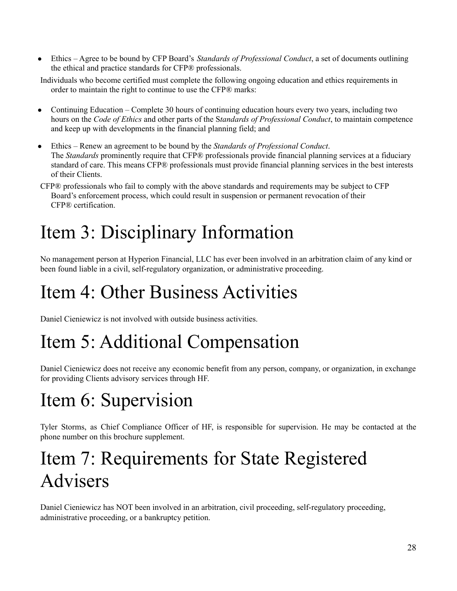● Ethics – Agree to be bound by CFP Board's *Standards of Professional Conduct*, a set of documents outlining the ethical and practice standards for CFP® professionals.

Individuals who become certified must complete the following ongoing education and ethics requirements in order to maintain the right to continue to use the CFP® marks:

- Continuing Education Complete 30 hours of continuing education hours every two years, including two hours on the *Code of Ethics* and other parts of the S*tandards of Professional Conduct*, to maintain competence and keep up with developments in the financial planning field; and
- Ethics Renew an agreement to be bound by the *Standards of Professional Conduct*. The *Standards* prominently require that CFP® professionals provide financial planning services at a fiduciary standard of care. This means CFP® professionals must provide financial planning services in the best interests of their Clients.
- CFP® professionals who fail to comply with the above standards and requirements may be subject to CFP Board's enforcement process, which could result in suspension or permanent revocation of their CFP® certification.

# Item 3: Disciplinary Information

No management person at Hyperion Financial, LLC has ever been involved in an arbitration claim of any kind or been found liable in a civil, self-regulatory organization, or administrative proceeding.

# Item 4: Other Business Activities

Daniel Cieniewicz is not involved with outside business activities.

# Item 5: Additional Compensation

Daniel Cieniewicz does not receive any economic benefit from any person, company, or organization, in exchange for providing Clients advisory services through HF.

# Item 6: Supervision

Tyler Storms, as Chief Compliance Officer of HF, is responsible for supervision. He may be contacted at the phone number on this brochure supplement.

# Item 7: Requirements for State Registered Advisers

Daniel Cieniewicz has NOT been involved in an arbitration, civil proceeding, self-regulatory proceeding, administrative proceeding, or a bankruptcy petition.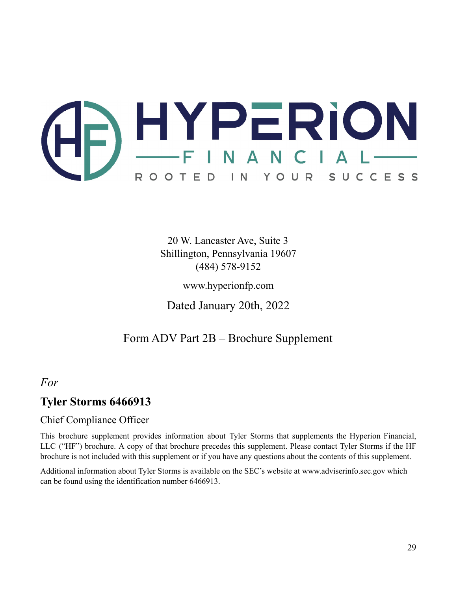

20 W. Lancaster Ave, Suite 3 Shillington, Pennsylvania 19607 (484) 578-9152

www.hyperionfp.com

Dated January 20th, 2022

### Form ADV Part 2B – Brochure Supplement

### <span id="page-28-0"></span>*For*

### **Tyler Storms 6466913**

### Chief Compliance Officer

This brochure supplement provides information about Tyler Storms that supplements the Hyperion Financial, LLC ("HF") brochure. A copy of that brochure precedes this supplement. Please contact Tyler Storms if the HF brochure is not included with this supplement or if you have any questions about the contents of this supplement.

Additional information about Tyler Storms is available on the SEC's website at [www.adviserinfo.sec.gov](http://www.adviserinfo.sec.gov) which can be found using the identification number 6466913.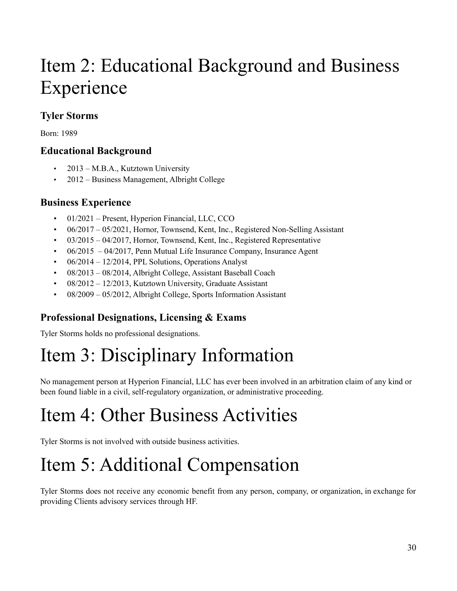# Item 2: Educational Background and Business Experience

### **Tyler Storms**

Born: 1989

### **Educational Background**

- 2013 M.B.A., Kutztown University
- 2012 Business Management, Albright College

### **Business Experience**

- 01/2021 Present, Hyperion Financial, LLC, CCO
- 06/2017 05/2021, Hornor, Townsend, Kent, Inc., Registered Non-Selling Assistant
- 03/2015 04/2017, Hornor, Townsend, Kent, Inc., Registered Representative
- 06/2015 04/2017, Penn Mutual Life Insurance Company, Insurance Agent
- $\cdot$  06/2014 12/2014, PPL Solutions, Operations Analyst
- 08/2013 08/2014, Albright College, Assistant Baseball Coach
- 08/2012 12/2013, Kutztown University, Graduate Assistant
- 08/2009 05/2012, Albright College, Sports Information Assistant

### **Professional Designations, Licensing & Exams**

Tyler Storms holds no professional designations.

# Item 3: Disciplinary Information

No management person at Hyperion Financial, LLC has ever been involved in an arbitration claim of any kind or been found liable in a civil, self-regulatory organization, or administrative proceeding.

# Item 4: Other Business Activities

Tyler Storms is not involved with outside business activities.

# Item 5: Additional Compensation

Tyler Storms does not receive any economic benefit from any person, company, or organization, in exchange for providing Clients advisory services through HF.